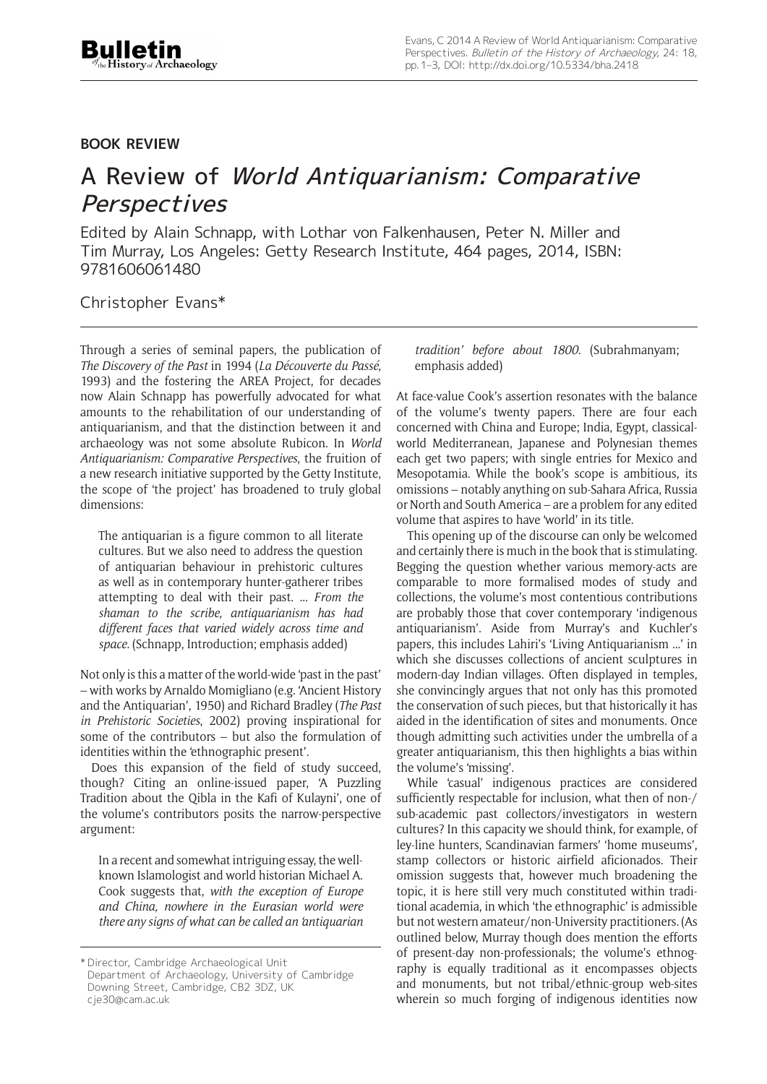## **BOOK REVIEW**

## A Review of World Antiquarianism: Comparative **Perspectives**

Edited by Alain Schnapp, with Lothar von Falkenhausen, Peter N. Miller and Tim Murray, Los Angeles: Getty Research Institute, 464 pages, 2014, ISBN: 9781606061480

Christopher Evans\*

Through a series of seminal papers, the publication of *The Discovery of the Past* in 1994 (*La Découverte du Passé*, 1993) and the fostering the AREA Project, for decades now Alain Schnapp has powerfully advocated for what amounts to the rehabilitation of our understanding of antiquarianism, and that the distinction between it and archaeology was not some absolute Rubicon. In *World Antiquarianism: Comparative Perspectives*, the fruition of a new research initiative supported by the Getty Institute, the scope of 'the project' has broadened to truly global dimensions:

The antiquarian is a figure common to all literate cultures. But we also need to address the question of antiquarian behaviour in prehistoric cultures as well as in contemporary hunter-gatherer tribes attempting to deal with their past. ... *From the shaman to the scribe, antiquarianism has had different faces that varied widely across time and space.* (Schnapp, Introduction; emphasis added)

Not only is this a matter of the world-wide 'past in the past' – with works by Arnaldo Momigliano (e.g. 'Ancient History and the Antiquarian', 1950) and Richard Bradley (*The Past in Prehistoric Societies*, 2002) proving inspirational for some of the contributors – but also the formulation of identities within the 'ethnographic present'.

Does this expansion of the field of study succeed, though? Citing an online-issued paper, 'A Puzzling Tradition about the Qibla in the Kafi of Kulayni', one of the volume's contributors posits the narrow-perspective argument:

In a recent and somewhat intriguing essay, the wellknown Islamologist and world historian Michael A. Cook suggests that, *with the exception of Europe and China, nowhere in the Eurasian world were there any signs of what can be called an 'antiquarian*  *tradition' before about 1800.* (Subrahmanyam; emphasis added)

At face-value Cook's assertion resonates with the balance of the volume's twenty papers. There are four each concerned with China and Europe; India, Egypt, classicalworld Mediterranean, Japanese and Polynesian themes each get two papers; with single entries for Mexico and Mesopotamia. While the book's scope is ambitious, its omissions – notably anything on sub-Sahara Africa, Russia or North and South America – are a problem for any edited volume that aspires to have 'world' in its title.

This opening up of the discourse can only be welcomed and certainly there is much in the book that is stimulating. Begging the question whether various memory-acts are comparable to more formalised modes of study and collections, the volume's most contentious contributions are probably those that cover contemporary 'indigenous antiquarianism'. Aside from Murray's and Kuchler's papers, this includes Lahiri's 'Living Antiquarianism ...' in which she discusses collections of ancient sculptures in modern-day Indian villages. Often displayed in temples, she convincingly argues that not only has this promoted the conservation of such pieces, but that historically it has aided in the identification of sites and monuments. Once though admitting such activities under the umbrella of a greater antiquarianism, this then highlights a bias within the volume's 'missing'.

While 'casual' indigenous practices are considered sufficiently respectable for inclusion, what then of non-/ sub-academic past collectors/investigators in western cultures? In this capacity we should think, for example, of ley-line hunters, Scandinavian farmers' 'home museums', stamp collectors or historic airfield aficionados. Their omission suggests that, however much broadening the topic, it is here still very much constituted within traditional academia, in which 'the ethnographic' is admissible but not western amateur/non-University practitioners. (As outlined below, Murray though does mention the efforts of present-day non-professionals; the volume's ethnography is equally traditional as it encompasses objects and monuments, but not tribal/ethnic-group web-sites wherein so much forging of indigenous identities now

<sup>\*</sup> Director, Cambridge Archaeological Unit Department of Archaeology, University of Cambridge Downing Street, Cambridge, CB2 3DZ, UK cje30@cam.ac.uk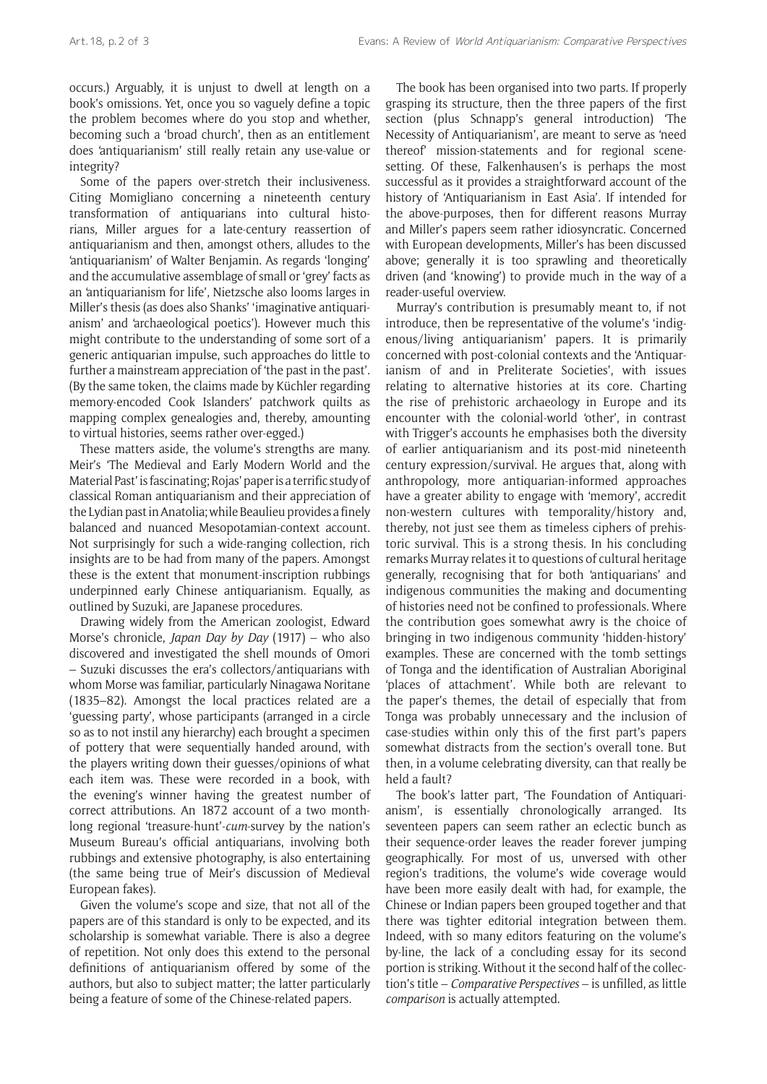occurs.) Arguably, it is unjust to dwell at length on a book's omissions. Yet, once you so vaguely define a topic the problem becomes where do you stop and whether, becoming such a 'broad church', then as an entitlement does 'antiquarianism' still really retain any use-value or integrity?

Some of the papers over-stretch their inclusiveness. Citing Momigliano concerning a nineteenth century transformation of antiquarians into cultural historians, Miller argues for a late-century reassertion of antiquarianism and then, amongst others, alludes to the 'antiquarianism' of Walter Benjamin. As regards 'longing' and the accumulative assemblage of small or 'grey' facts as an 'antiquarianism for life', Nietzsche also looms larges in Miller's thesis (as does also Shanks' 'imaginative antiquarianism' and 'archaeological poetics'). However much this might contribute to the understanding of some sort of a generic antiquarian impulse, such approaches do little to further a mainstream appreciation of 'the past in the past'. (By the same token, the claims made by Küchler regarding memory-encoded Cook Islanders' patchwork quilts as mapping complex genealogies and, thereby, amounting to virtual histories, seems rather over-egged.)

These matters aside, the volume's strengths are many. Meir's 'The Medieval and Early Modern World and the Material Past' is fascinating; Rojas' paper is a terrific study of classical Roman antiquarianism and their appreciation of the Lydian past in Anatolia; while Beaulieu provides a finely balanced and nuanced Mesopotamian-context account. Not surprisingly for such a wide-ranging collection, rich insights are to be had from many of the papers. Amongst these is the extent that monument-inscription rubbings underpinned early Chinese antiquarianism. Equally, as outlined by Suzuki, are Japanese procedures.

Drawing widely from the American zoologist, Edward Morse's chronicle, *Japan Day by Day* (1917) – who also discovered and investigated the shell mounds of Omori – Suzuki discusses the era's collectors/antiquarians with whom Morse was familiar, particularly Ninagawa Noritane (1835–82). Amongst the local practices related are a 'guessing party', whose participants (arranged in a circle so as to not instil any hierarchy) each brought a specimen of pottery that were sequentially handed around, with the players writing down their guesses/opinions of what each item was. These were recorded in a book, with the evening's winner having the greatest number of correct attributions. An 1872 account of a two monthlong regional 'treasure-hunt'-*cum*-survey by the nation's Museum Bureau's official antiquarians, involving both rubbings and extensive photography, is also entertaining (the same being true of Meir's discussion of Medieval European fakes).

Given the volume's scope and size, that not all of the papers are of this standard is only to be expected, and its scholarship is somewhat variable. There is also a degree of repetition. Not only does this extend to the personal definitions of antiquarianism offered by some of the authors, but also to subject matter; the latter particularly being a feature of some of the Chinese-related papers.

The book has been organised into two parts. If properly grasping its structure, then the three papers of the first section (plus Schnapp's general introduction) 'The Necessity of Antiquarianism', are meant to serve as 'need thereof' mission-statements and for regional scenesetting. Of these, Falkenhausen's is perhaps the most successful as it provides a straightforward account of the history of 'Antiquarianism in East Asia'. If intended for the above-purposes, then for different reasons Murray and Miller's papers seem rather idiosyncratic. Concerned with European developments, Miller's has been discussed above; generally it is too sprawling and theoretically driven (and 'knowing') to provide much in the way of a reader-useful overview.

Murray's contribution is presumably meant to, if not introduce, then be representative of the volume's 'indigenous/living antiquarianism' papers. It is primarily concerned with post-colonial contexts and the 'Antiquarianism of and in Preliterate Societies', with issues relating to alternative histories at its core. Charting the rise of prehistoric archaeology in Europe and its encounter with the colonial-world 'other', in contrast with Trigger's accounts he emphasises both the diversity of earlier antiquarianism and its post-mid nineteenth century expression/survival. He argues that, along with anthropology, more antiquarian-informed approaches have a greater ability to engage with 'memory', accredit non-western cultures with temporality/history and, thereby, not just see them as timeless ciphers of prehistoric survival. This is a strong thesis. In his concluding remarks Murray relates it to questions of cultural heritage generally, recognising that for both 'antiquarians' and indigenous communities the making and documenting of histories need not be confined to professionals. Where the contribution goes somewhat awry is the choice of bringing in two indigenous community 'hidden-history' examples. These are concerned with the tomb settings of Tonga and the identification of Australian Aboriginal 'places of attachment'. While both are relevant to the paper's themes, the detail of especially that from Tonga was probably unnecessary and the inclusion of case-studies within only this of the first part's papers somewhat distracts from the section's overall tone. But then, in a volume celebrating diversity, can that really be held a fault?

The book's latter part, 'The Foundation of Antiquarianism', is essentially chronologically arranged. Its seventeen papers can seem rather an eclectic bunch as their sequence-order leaves the reader forever jumping geographically. For most of us, unversed with other region's traditions, the volume's wide coverage would have been more easily dealt with had, for example, the Chinese or Indian papers been grouped together and that there was tighter editorial integration between them. Indeed, with so many editors featuring on the volume's by-line, the lack of a concluding essay for its second portion is striking. Without it the second half of the collection's title – *Comparative Perspectives* – is unfilled, as little *comparison* is actually attempted.